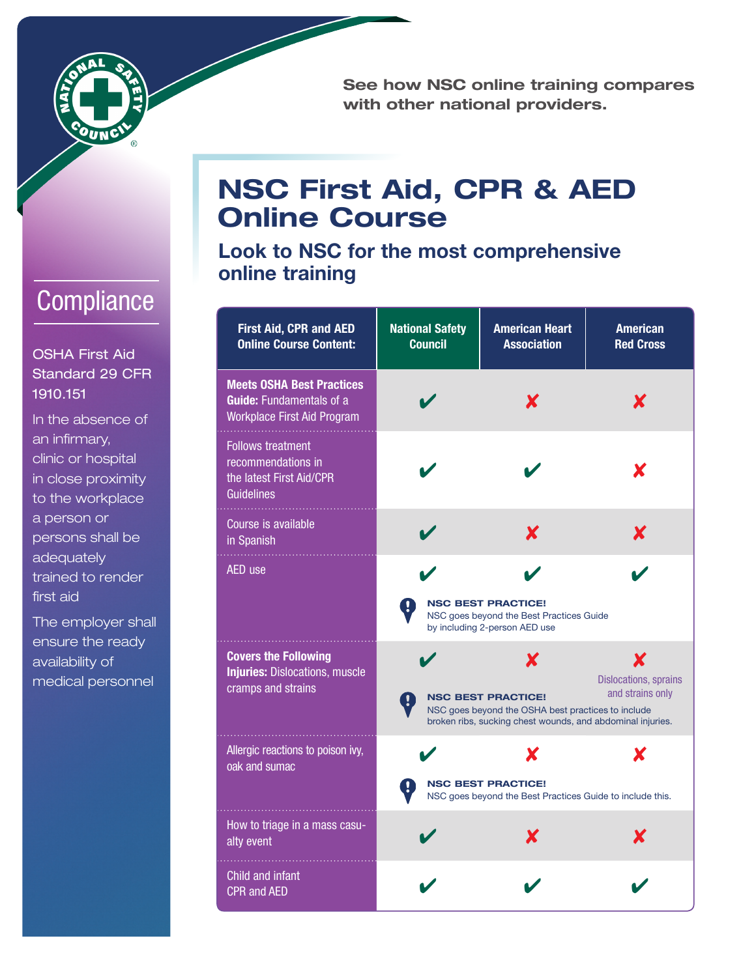

See how NSC online training compares with other national providers.

## **Compliance**

OSHA First Aid Standard 29 CFR 1910.151

In the absence of an infirmary, clinic or hospital in close proximity to the workplace a person or persons shall be adequately trained to render first aid

The employer shall ensure the ready availability of medical personnel

## NSC First Aid, CPR & AED Online Course

Look to NSC for the most comprehensive online training

| <b>First Aid, CPR and AED</b><br><b>Online Course Content:</b>                                     | <b>National Safety</b><br><b>Council</b> | <b>American Heart</b><br><b>Association</b>                                                                                                        | <b>American</b><br><b>Red Cross</b>                   |
|----------------------------------------------------------------------------------------------------|------------------------------------------|----------------------------------------------------------------------------------------------------------------------------------------------------|-------------------------------------------------------|
| <b>Meets OSHA Best Practices</b><br><b>Guide:</b> Fundamentals of a<br>Workplace First Aid Program |                                          | X                                                                                                                                                  | X                                                     |
| <b>Follows treatment</b><br>recommendations in<br>the latest First Aid/CPR<br><b>Guidelines</b>    |                                          |                                                                                                                                                    | X                                                     |
| Course is available<br>in Spanish                                                                  |                                          | X                                                                                                                                                  | X                                                     |
| AED use                                                                                            |                                          | <b>NSC BEST PRACTICE!</b><br>NSC goes beyond the Best Practices Guide<br>by including 2-person AED use                                             |                                                       |
| <b>Covers the Following</b><br><b>Injuries: Dislocations, muscle</b><br>cramps and strains         |                                          | X<br><b>NSC BEST PRACTICE!</b><br>NSC goes beyond the OSHA best practices to include<br>broken ribs, sucking chest wounds, and abdominal injuries. | X<br><b>Dislocations, sprains</b><br>and strains only |
| Allergic reactions to poison ivy,<br>oak and sumac                                                 |                                          | <b>NSC BEST PRACTICE!</b><br>NSC goes beyond the Best Practices Guide to include this.                                                             |                                                       |
| How to triage in a mass casu-<br>alty event                                                        |                                          | x                                                                                                                                                  | X                                                     |
| Child and infant<br><b>CPR and AED</b>                                                             |                                          |                                                                                                                                                    |                                                       |